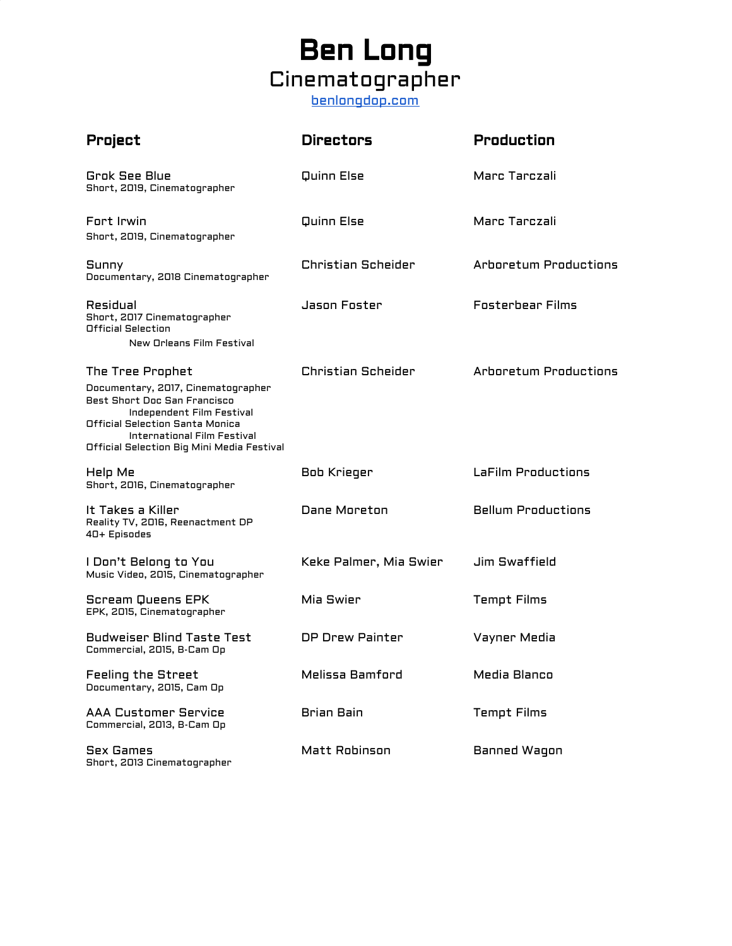# Ben Long Cinematographer [benlongdop.com](http://benlongdop.com/)

| Project                                                                                                                                                                                                                             | <b>Directors</b>          | <b>Production</b>            |
|-------------------------------------------------------------------------------------------------------------------------------------------------------------------------------------------------------------------------------------|---------------------------|------------------------------|
| <b>Grok See Blue</b><br>Short, 2019, Cinematographer                                                                                                                                                                                | Quinn Else                | Marc Tarczali                |
| Fort Irwin<br>Short, 2019, Cinematographer                                                                                                                                                                                          | Quinn Else                | Marc Tarczali                |
| Sunny<br>Documentary, 2018 Cinematographer                                                                                                                                                                                          | <b>Christian Scheider</b> | <b>Arboretum Productions</b> |
| Residual<br>Short, 2017 Cinematographer<br>Official Selection<br>New Orleans Film Festival                                                                                                                                          | Jason Foster              | <b>Fosterhear Films</b>      |
| The Tree Prophet<br>Documentary, 2017, Cinematographer<br>Best Short Doc San Francisco<br>Independent Film Festival<br>Official Selection Santa Monica<br>International Film Festival<br>Official Selection Big Mini Media Festival | Christian Scheider        | <b>Arboretum Productions</b> |
| Help Me<br>Short, 2016, Cinematographer                                                                                                                                                                                             | Bob Krieger               | LaFilm Productions           |
| It Takes a Killer<br>Reality TV, 2016, Reenactment DP<br>40+ Episodes                                                                                                                                                               | Dane Moreton              | <b>Bellum Productions</b>    |
| I Don't Belong to You<br>Music Video, 2015, Cinematographer                                                                                                                                                                         | Keke Palmer, Mia Swier    | <b>Jim Swaffield</b>         |
| Scream Queens EPK<br>EPK, 2015, Cinematographer                                                                                                                                                                                     | Mia Swier                 | <b>Tempt Films</b>           |
| <b>Budweiser Blind Taste Test</b><br>Commercial, 2015, B-Cam Op                                                                                                                                                                     | DP Drew Painter           | Vayner Media                 |
| <b>Feeling the Street</b><br>Documentary, 2015, Cam Op                                                                                                                                                                              | Melissa Bamford           | Media Blanco                 |
| <b>AAA Customer Service</b><br>Commercial, 2013, B-Cam Op                                                                                                                                                                           | Brian Bain                | <b>Tempt Films</b>           |
| <b>Sex Games</b><br>Short, 2013 Cinematographer                                                                                                                                                                                     | Matt Robinson             | Banned Wagon                 |